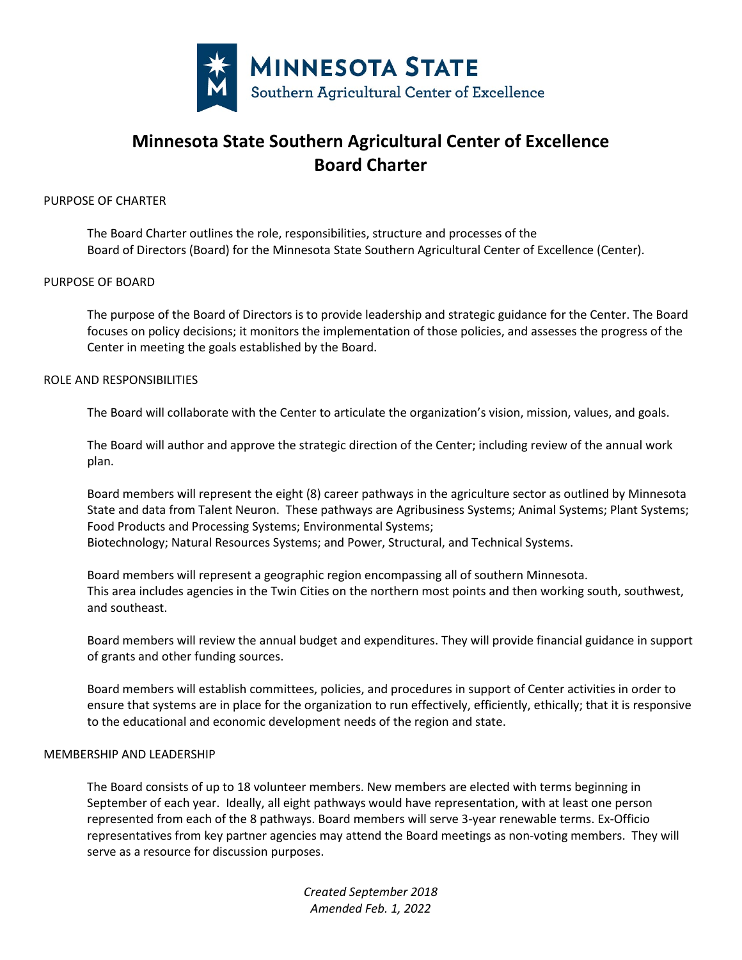

# **Minnesota State Southern Agricultural Center of Excellence Board Charter**

## PURPOSE OF CHARTER

The Board Charter outlines the role, responsibilities, structure and processes of the Board of Directors (Board) for the Minnesota State Southern Agricultural Center of Excellence (Center).

## PURPOSE OF BOARD

The purpose of the Board of Directors is to provide leadership and strategic guidance for the Center. The Board focuses on policy decisions; it monitors the implementation of those policies, and assesses the progress of the Center in meeting the goals established by the Board.

## ROLE AND RESPONSIBILITIES

The Board will collaborate with the Center to articulate the organization's vision, mission, values, and goals.

The Board will author and approve the strategic direction of the Center; including review of the annual work plan.

Board members will represent the eight (8) career pathways in the agriculture sector as outlined by Minnesota State and data from Talent Neuron. These pathways are Agribusiness Systems; Animal Systems; Plant Systems; Food Products and Processing Systems; Environmental Systems; Biotechnology; Natural Resources Systems; and Power, Structural, and Technical Systems.

Board members will represent a geographic region encompassing all of southern Minnesota. This area includes agencies in the Twin Cities on the northern most points and then working south, southwest, and southeast.

Board members will review the annual budget and expenditures. They will provide financial guidance in support of grants and other funding sources.

Board members will establish committees, policies, and procedures in support of Center activities in order to ensure that systems are in place for the organization to run effectively, efficiently, ethically; that it is responsive to the educational and economic development needs of the region and state.

## MEMBERSHIP AND LEADERSHIP

The Board consists of up to 18 volunteer members. New members are elected with terms beginning in September of each year. Ideally, all eight pathways would have representation, with at least one person represented from each of the 8 pathways. Board members will serve 3-year renewable terms. Ex-Officio representatives from key partner agencies may attend the Board meetings as non-voting members. They will serve as a resource for discussion purposes.

> *Created September 2018 Amended Feb. 1, 2022*